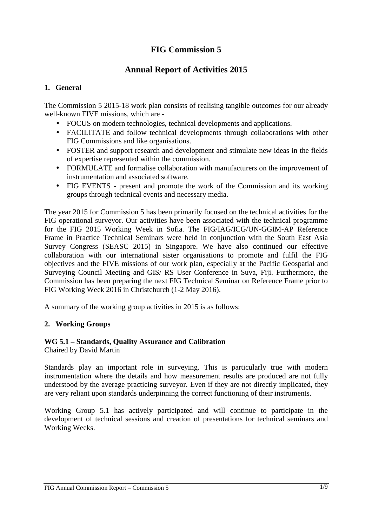# **FIG Commission 5**

## **Annual Report of Activities 2015**

#### **1. General**

The Commission 5 2015-18 work plan consists of realising tangible outcomes for our already well-known FIVE missions, which are -

- FOCUS on modern technologies, technical developments and applications.
- FACILITATE and follow technical developments through collaborations with other FIG Commissions and like organisations.
- FOSTER and support research and development and stimulate new ideas in the fields of expertise represented within the commission.
- FORMULATE and formalise collaboration with manufacturers on the improvement of instrumentation and associated software.
- FIG EVENTS present and promote the work of the Commission and its working groups through technical events and necessary media.

The year 2015 for Commission 5 has been primarily focused on the technical activities for the FIG operational surveyor. Our activities have been associated with the technical programme for the FIG 2015 Working Week in Sofia. The FIG/IAG/ICG/UN-GGIM-AP Reference Frame in Practice Technical Seminars were held in conjunction with the South East Asia Survey Congress (SEASC 2015) in Singapore. We have also continued our effective collaboration with our international sister organisations to promote and fulfil the FIG objectives and the FIVE missions of our work plan, especially at the Pacific Geospatial and Surveying Council Meeting and GIS/ RS User Conference in Suva, Fiji. Furthermore, the Commission has been preparing the next FIG Technical Seminar on Reference Frame prior to FIG Working Week 2016 in Christchurch (1-2 May 2016).

A summary of the working group activities in 2015 is as follows:

#### **2. Working Groups**

## **WG 5.1 – Standards, Quality Assurance and Calibration**

Chaired by David Martin

Standards play an important role in surveying. This is particularly true with modern instrumentation where the details and how measurement results are produced are not fully understood by the average practicing surveyor. Even if they are not directly implicated, they are very reliant upon standards underpinning the correct functioning of their instruments.

Working Group 5.1 has actively participated and will continue to participate in the development of technical sessions and creation of presentations for technical seminars and Working Weeks.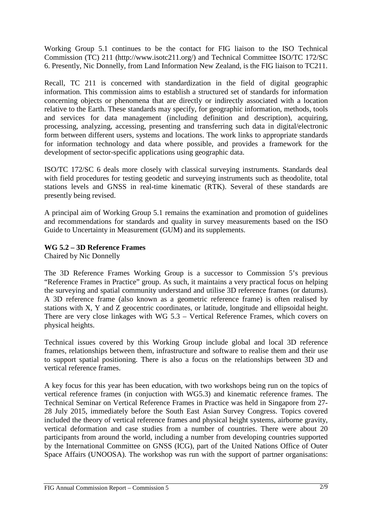Working Group 5.1 continues to be the contact for FIG liaison to the ISO Technical Commission (TC) 211 (http://www.isotc211.org/) and Technical Committee ISO/TC 172/SC 6. Presently, Nic Donnelly, from Land Information New Zealand, is the FIG liaison to TC211.

Recall, TC 211 is concerned with standardization in the field of digital geographic information. This commission aims to establish a structured set of standards for information concerning objects or phenomena that are directly or indirectly associated with a location relative to the Earth. These standards may specify, for geographic information, methods, tools and services for data management (including definition and description), acquiring, processing, analyzing, accessing, presenting and transferring such data in digital/electronic form between different users, systems and locations. The work links to appropriate standards for information technology and data where possible, and provides a framework for the development of sector-specific applications using geographic data.

ISO/TC 172/SC 6 deals more closely with classical surveying instruments. Standards deal with field procedures for testing geodetic and surveying instruments such as theodolite, total stations levels and GNSS in real-time kinematic (RTK). Several of these standards are presently being revised.

A principal aim of Working Group 5.1 remains the examination and promotion of guidelines and recommendations for standards and quality in survey measurements based on the ISO Guide to Uncertainty in Measurement (GUM) and its supplements.

## **WG 5.2 – 3D Reference Frames**

Chaired by Nic Donnelly

The 3D Reference Frames Working Group is a successor to Commission 5's previous "Reference Frames in Practice" group. As such, it maintains a very practical focus on helping the surveying and spatial community understand and utilise 3D reference frames (or datums). A 3D reference frame (also known as a geometric reference frame) is often realised by stations with X, Y and Z geocentric coordinates, or latitude, longitude and ellipsoidal height. There are very close linkages with WG 5.3 – Vertical Reference Frames, which covers on physical heights.

Technical issues covered by this Working Group include global and local 3D reference frames, relationships between them, infrastructure and software to realise them and their use to support spatial positioning. There is also a focus on the relationships between 3D and vertical reference frames.

A key focus for this year has been education, with two workshops being run on the topics of vertical reference frames (in conjuction with WG5.3) and kinematic reference frames. The Technical Seminar on Vertical Reference Frames in Practice was held in Singapore from 27- 28 July 2015, immediately before the South East Asian Survey Congress. Topics covered included the theory of vertical reference frames and physical height systems, airborne gravity, vertical deformation and case studies from a number of countries. There were about 20 participants from around the world, including a number from developing countries supported by the International Committee on GNSS (ICG), part of the United Nations Office of Outer Space Affairs (UNOOSA). The workshop was run with the support of partner organisations: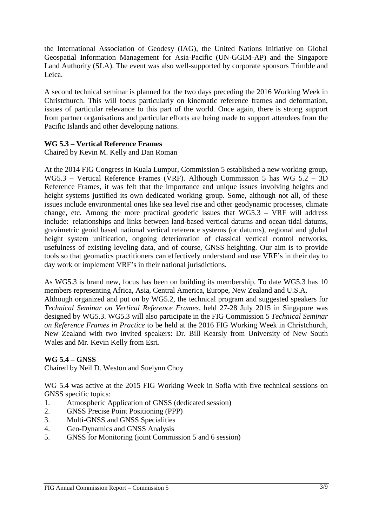the International Association of Geodesy (IAG), the United Nations Initiative on Global Geospatial Information Management for Asia-Pacific (UN-GGIM-AP) and the Singapore Land Authority (SLA). The event was also well-supported by corporate sponsors Trimble and Leica.

A second technical seminar is planned for the two days preceding the 2016 Working Week in Christchurch. This will focus particularly on kinematic reference frames and deformation, issues of particular relevance to this part of the world. Once again, there is strong support from partner organisations and particular efforts are being made to support attendees from the Pacific Islands and other developing nations.

## **WG 5.3 – Vertical Reference Frames**

Chaired by Kevin M. Kelly and Dan Roman

At the 2014 FIG Congress in Kuala Lumpur, Commission 5 established a new working group, WG5.3 – Vertical Reference Frames (VRF). Although Commission 5 has WG 5.2 – 3D Reference Frames, it was felt that the importance and unique issues involving heights and height systems justified its own dedicated working group. Some, although not all, of these issues include environmental ones like sea level rise and other geodynamic processes, climate change, etc. Among the more practical geodetic issues that WG5.3 – VRF will address include: relationships and links between land-based vertical datums and ocean tidal datums, gravimetric geoid based national vertical reference systems (or datums), regional and global height system unification, ongoing deterioration of classical vertical control networks, usefulness of existing leveling data, and of course, GNSS heighting. Our aim is to provide tools so that geomatics practitioners can effectively understand and use VRF's in their day to day work or implement VRF's in their national jurisdictions.

As WG5.3 is brand new, focus has been on building its membership. To date WG5.3 has 10 members representing Africa, Asia, Central America, Europe, New Zealand and U.S.A. Although organized and put on by WG5.2, the technical program and suggested speakers for *Technical Seminar on Vertical Reference Frames*, held 27-28 July 2015 in Singapore was designed by WG5.3. WG5.3 will also participate in the FIG Commission 5 *Technical Seminar on Reference Frames in Practice* to be held at the 2016 FIG Working Week in Christchurch, New Zealand with two invited speakers: Dr. Bill Kearsly from University of New South Wales and Mr. Kevin Kelly from Esri.

## **WG 5.4 – GNSS**

Chaired by Neil D. Weston and Suelynn Choy

WG 5.4 was active at the 2015 FIG Working Week in Sofia with five technical sessions on GNSS specific topics:

- 1. Atmospheric Application of GNSS (dedicated session)
- 2. GNSS Precise Point Positioning (PPP)
- 3. Multi-GNSS and GNSS Specialities
- 4. Geo-Dynamics and GNSS Analysis
- 5. GNSS for Monitoring (joint Commission 5 and 6 session)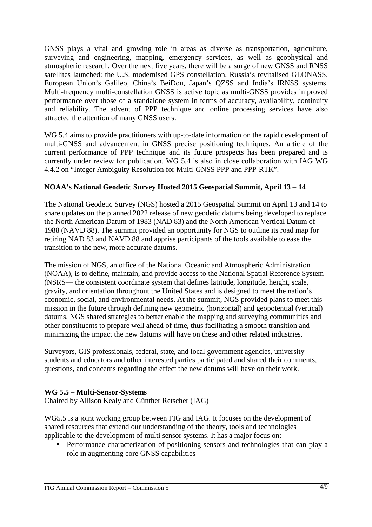GNSS plays a vital and growing role in areas as diverse as transportation, agriculture, surveying and engineering, mapping, emergency services, as well as geophysical and atmospheric research. Over the next five years, there will be a surge of new GNSS and RNSS satellites launched: the U.S. modernised GPS constellation, Russia's revitalised GLONASS, European Union's Galileo, China's BeiDou, Japan's QZSS and India's IRNSS systems. Multi-frequency multi-constellation GNSS is active topic as multi-GNSS provides improved performance over those of a standalone system in terms of accuracy, availability, continuity and reliability. The advent of PPP technique and online processing services have also attracted the attention of many GNSS users.

WG 5.4 aims to provide practitioners with up-to-date information on the rapid development of multi-GNSS and advancement in GNSS precise positioning techniques. An article of the current performance of PPP technique and its future prospects has been prepared and is currently under review for publication. WG 5.4 is also in close collaboration with IAG WG 4.4.2 on "Integer Ambiguity Resolution for Multi-GNSS PPP and PPP-RTK".

## **NOAA's National Geodetic Survey Hosted 2015 Geospatial Summit, April 13 – 14**

The National Geodetic Survey (NGS) hosted a 2015 Geospatial Summit on April 13 and 14 to share updates on the planned 2022 release of new geodetic datums being developed to replace the North American Datum of 1983 (NAD 83) and the North American Vertical Datum of 1988 (NAVD 88). The summit provided an opportunity for NGS to outline its road map for retiring NAD 83 and NAVD 88 and apprise participants of the tools available to ease the transition to the new, more accurate datums.

The mission of NGS, an office of the National Oceanic and Atmospheric Administration (NOAA), is to define, maintain, and provide access to the National Spatial Reference System (NSRS— the consistent coordinate system that defines latitude, longitude, height, scale, gravity, and orientation throughout the United States and is designed to meet the nation's economic, social, and environmental needs. At the summit, NGS provided plans to meet this mission in the future through defining new geometric (horizontal) and geopotential (vertical) datums. NGS shared strategies to better enable the mapping and surveying communities and other constituents to prepare well ahead of time, thus facilitating a smooth transition and minimizing the impact the new datums will have on these and other related industries.

Surveyors, GIS professionals, federal, state, and local government agencies, university students and educators and other interested parties participated and shared their comments, questions, and concerns regarding the effect the new datums will have on their work.

#### **WG 5.5 – Multi-Sensor-Systems**

Chaired by Allison Kealy and Günther Retscher (IAG)

WG5.5 is a joint working group between FIG and IAG. It focuses on the development of shared resources that extend our understanding of the theory, tools and technologies applicable to the development of multi sensor systems. It has a major focus on:

• Performance characterization of positioning sensors and technologies that can play a role in augmenting core GNSS capabilities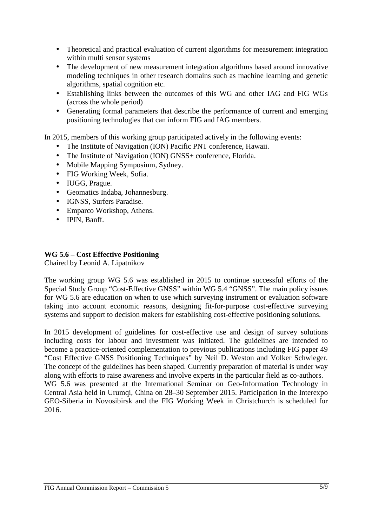- Theoretical and practical evaluation of current algorithms for measurement integration within multi sensor systems
- The development of new measurement integration algorithms based around innovative modeling techniques in other research domains such as machine learning and genetic algorithms, spatial cognition etc.
- Establishing links between the outcomes of this WG and other IAG and FIG WGs (across the whole period)
- Generating formal parameters that describe the performance of current and emerging positioning technologies that can inform FIG and IAG members.

In 2015, members of this working group participated actively in the following events:

- The Institute of Navigation (ION) Pacific PNT conference, Hawaii.
- The Institute of Navigation (ION) GNSS+ conference, Florida.
- Mobile Mapping Symposium, Sydney.
- FIG Working Week, Sofia.
- IUGG, Prague.
- Geomatics Indaba, Johannesburg.
- IGNSS, Surfers Paradise.
- Emparco Workshop, Athens.
- IPIN, Banff.

#### **WG 5.6 – Cost Effective Positioning**

Chaired by Leonid A. Lipatnikov

The working group WG 5.6 was established in 2015 to continue successful efforts of the Special Study Group "Cost-Effective GNSS" within WG 5.4 "GNSS". The main policy issues for WG 5.6 are education on when to use which surveying instrument or evaluation software taking into account economic reasons, designing fit-for-purpose cost-effective surveying systems and support to decision makers for establishing cost-effective positioning solutions.

In 2015 development of guidelines for cost-effective use and design of survey solutions including costs for labour and investment was initiated. The guidelines are intended to become a practice-oriented complementation to previous publications including FIG paper 49 "Cost Effective GNSS Positioning Techniques" by Neil D. Weston and Volker Schwieger. The concept of the guidelines has been shaped. Currently preparation of material is under way along with efforts to raise awareness and involve experts in the particular field as co-authors. WG 5.6 was presented at the International Seminar on Geo-Information Technology in Central Asia held in Urumqi, China on 28–30 September 2015. Participation in the Interexpo GEO-Siberia in Novosibirsk and the FIG Working Week in Christchurch is scheduled for 2016.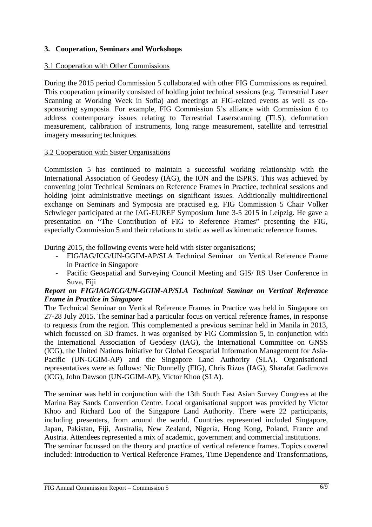## **3. Cooperation, Seminars and Workshops**

#### 3.1 Cooperation with Other Commissions

During the 2015 period Commission 5 collaborated with other FIG Commissions as required. This cooperation primarily consisted of holding joint technical sessions (e.g. Terrestrial Laser Scanning at Working Week in Sofia) and meetings at FIG-related events as well as cosponsoring symposia. For example, FIG Commission 5's alliance with Commission 6 to address contemporary issues relating to Terrestrial Laserscanning (TLS), deformation measurement, calibration of instruments, long range measurement, satellite and terrestrial imagery measuring techniques.

#### 3.2 Cooperation with Sister Organisations

Commission 5 has continued to maintain a successful working relationship with the International Association of Geodesy (IAG), the ION and the ISPRS. This was achieved by convening joint Technical Seminars on Reference Frames in Practice, technical sessions and holding joint administrative meetings on significant issues. Additionally multidirectional exchange on Seminars and Symposia are practised e.g. FIG Commission 5 Chair Volker Schwieger participated at the IAG-EUREF Symposium June 3-5 2015 in Leipzig. He gave a presentation on "The Contribution of FIG to Reference Frames" presenting the FIG, especially Commission 5 and their relations to static as well as kinematic reference frames.

During 2015, the following events were held with sister organisations;

- FIG/IAG/ICG/UN-GGIM-AP/SLA Technical Seminar on Vertical Reference Frame in Practice in Singapore
- Pacific Geospatial and Surveying Council Meeting and GIS/ RS User Conference in Suva, Fiji

#### *Report on FIG/IAG/ICG/UN-GGIM-AP/SLA Technical Seminar on Vertical Reference Frame in Practice in Singapore*

The Technical Seminar on Vertical Reference Frames in Practice was held in Singapore on 27-28 July 2015. The seminar had a particular focus on vertical reference frames, in response to requests from the region. This complemented a previous seminar held in Manila in 2013, which focussed on 3D frames. It was organised by FIG Commission 5, in conjunction with the International Association of Geodesy (IAG), the International Committee on GNSS (ICG), the United Nations Initiative for Global Geospatial Information Management for Asia-Pacific (UN-GGIM-AP) and the Singapore Land Authority (SLA). Organisational representatives were as follows: Nic Donnelly (FIG), Chris Rizos (IAG), Sharafat Gadimova (ICG), John Dawson (UN-GGIM-AP), Victor Khoo (SLA).

The seminar was held in conjunction with the 13th South East Asian Survey Congress at the Marina Bay Sands Convention Centre. Local organisational support was provided by Victor Khoo and Richard Loo of the Singapore Land Authority. There were 22 participants, including presenters, from around the world. Countries represented included Singapore, Japan, Pakistan, Fiji, Australia, New Zealand, Nigeria, Hong Kong, Poland, France and Austria. Attendees represented a mix of academic, government and commercial institutions. The seminar focussed on the theory and practice of vertical reference frames. Topics covered included: Introduction to Vertical Reference Frames, Time Dependence and Transformations,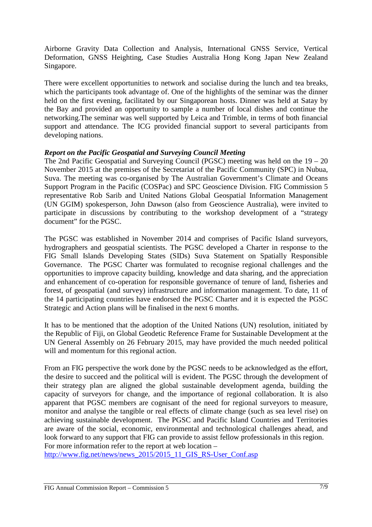Airborne Gravity Data Collection and Analysis, International GNSS Service, Vertical Deformation, GNSS Heighting, Case Studies Australia Hong Kong Japan New Zealand Singapore.

There were excellent opportunities to network and socialise during the lunch and tea breaks, which the participants took advantage of. One of the highlights of the seminar was the dinner held on the first evening, facilitated by our Singaporean hosts. Dinner was held at Satay by the Bay and provided an opportunity to sample a number of local dishes and continue the networking.The seminar was well supported by Leica and Trimble, in terms of both financial support and attendance. The ICG provided financial support to several participants from developing nations.

#### *Report on the Pacific Geospatial and Surveying Council Meeting*

The 2nd Pacific Geospatial and Surveying Council (PGSC) meeting was held on the 19 – 20 November 2015 at the premises of the Secretariat of the Pacific Community (SPC) in Nubua, Suva. The meeting was co-organised by The Australian Government's Climate and Oceans Support Program in the Pacific (COSPac) and SPC Geoscience Division. FIG Commission 5 representative Rob Sarib and United Nations Global Geospatial Information Management (UN GGIM) spokesperson, John Dawson (also from Geoscience Australia), were invited to participate in discussions by contributing to the workshop development of a "strategy document" for the PGSC.

The PGSC was established in November 2014 and comprises of Pacific Island surveyors, hydrographers and geospatial scientists. The PGSC developed a Charter in response to the FIG Small Islands Developing States (SIDs) Suva Statement on Spatially Responsible Governance. The PGSC Charter was formulated to recognise regional challenges and the opportunities to improve capacity building, knowledge and data sharing, and the appreciation and enhancement of co-operation for responsible governance of tenure of land, fisheries and forest, of geospatial (and survey) infrastructure and information management. To date, 11 of the 14 participating countries have endorsed the PGSC Charter and it is expected the PGSC Strategic and Action plans will be finalised in the next 6 months.

It has to be mentioned that the adoption of the United Nations (UN) resolution, initiated by the Republic of Fiji, on Global Geodetic Reference Frame for Sustainable Development at the UN General Assembly on 26 February 2015, may have provided the much needed political will and momentum for this regional action.

From an FIG perspective the work done by the PGSC needs to be acknowledged as the effort, the desire to succeed and the political will is evident. The PGSC through the development of their strategy plan are aligned the global sustainable development agenda, building the capacity of surveyors for change, and the importance of regional collaboration. It is also apparent that PGSC members are cognisant of the need for regional surveyors to measure, monitor and analyse the tangible or real effects of climate change (such as sea level rise) on achieving sustainable development. The PGSC and Pacific Island Countries and Territories are aware of the social, economic, environmental and technological challenges ahead, and look forward to any support that FIG can provide to assist fellow professionals in this region. For more information refer to the report at web location –

http://www.fig.net/news/news\_2015/2015\_11\_GIS\_RS-User\_Conf.asp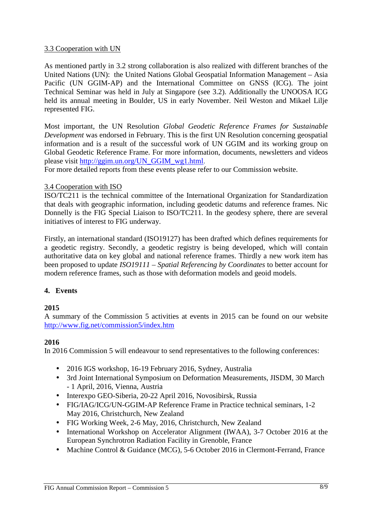#### 3.3 Cooperation with UN

As mentioned partly in 3.2 strong collaboration is also realized with different branches of the United Nations (UN): the United Nations Global Geospatial Information Management – Asia Pacific (UN GGIM-AP) and the International Committee on GNSS (ICG). The joint Technical Seminar was held in July at Singapore (see 3.2). Additionally the UNOOSA ICG held its annual meeting in Boulder, US in early November. Neil Weston and Mikael Lilje represented FIG.

Most important, the UN Resolution *Global Geodetic Reference Frames for Sustainable Development* was endorsed in February. This is the first UN Resolution concerning geospatial information and is a result of the successful work of UN GGIM and its working group on Global Geodetic Reference Frame. For more information, documents, newsletters and videos please visit http://ggim.un.org/UN\_GGIM\_wg1.html.

For more detailed reports from these events please refer to our Commission website.

#### 3.4 Cooperation with ISO

ISO/TC211 is the technical committee of the International Organization for Standardization that deals with geographic information, including geodetic datums and reference frames. Nic Donnelly is the FIG Special Liaison to ISO/TC211. In the geodesy sphere, there are several initiatives of interest to FIG underway.

Firstly, an international standard (ISO19127) has been drafted which defines requirements for a geodetic registry. Secondly, a geodetic registry is being developed, which will contain authoritative data on key global and national reference frames. Thirdly a new work item has been proposed to update *ISO19111 – Spatial Referencing by Coordinates* to better account for modern reference frames, such as those with deformation models and geoid models.

#### **4. Events**

#### **2015**

A summary of the Commission 5 activities at events in 2015 can be found on our website http://www.fig.net/commission5/index.htm

#### **2016**

In 2016 Commission 5 will endeavour to send representatives to the following conferences:

- 2016 IGS workshop, 16-19 February 2016, Sydney, Australia
- 3rd Joint International Symposium on Deformation Measurements, JISDM, 30 March - 1 April, 2016, Vienna, Austria
- Interexpo GEO-Siberia, 20-22 April 2016, Novosibirsk, Russia
- FIG/IAG/ICG/UN-GGIM-AP Reference Frame in Practice technical seminars, 1-2 May 2016, Christchurch, New Zealand
- FIG Working Week, 2-6 May, 2016, Christchurch, New Zealand
- International Workshop on Accelerator Alignment (IWAA), 3-7 October 2016 at the European Synchrotron Radiation Facility in Grenoble, France
- Machine Control & Guidance (MCG), 5-6 October 2016 in Clermont-Ferrand, France